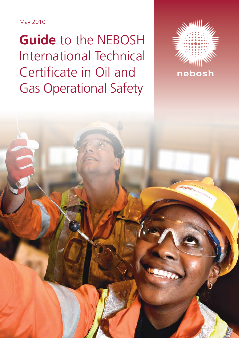May 2010

**Guide** to the NEBOSH International Technical Certificate in Oil and Gas Operational Safety

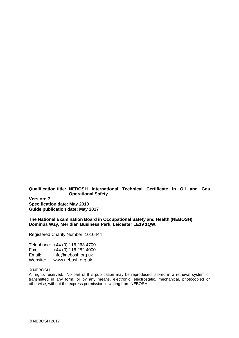#### **Qualification title: NEBOSH International Technical Certificate in Oil and Gas Operational Safety**

**Version: 7 Specification date: May 2010 Guide publication date: May 2017**

#### **The National Examination Board in Occupational Safety and Health (NEBOSH), Dominus Way, Meridian Business Park, Leicester LE19 1QW.**

Registered Charity Number: 1010444

| Telephone: +44 (0) 116 263 4700 |
|---------------------------------|
| +44 (0) 116 282 4000            |
| info@nebosh.org.uk              |
| www.nebosh.org.uk               |
|                                 |

#### © NEBOSH

All rights reserved. No part of this publication may be reproduced, stored in a retrieval system or transmitted in any form, or by any means, electronic, electrostatic, mechanical, photocopied or otherwise, without the express permission in writing from NEBOSH.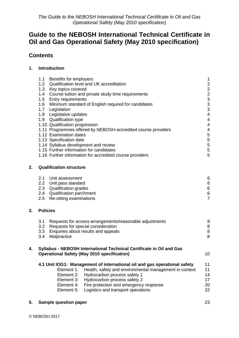# **Contents**

## **1. [Introduction](#page-3-0)**

|    | 1.1<br>Benefits for employers<br>1.2<br>Qualification level and UK accreditation<br>1.3<br>Key topics covered<br>Course tuition and private study time requirements<br>1.4<br>1.5<br><b>Entry requirements</b><br>Minimum standard of English required for candidates<br>1.6<br>Legislation<br>1.7<br>1.8<br>Legislative updates<br>1.9 Qualification type<br>1.10 Qualification progression<br>1.11 Programmes offered by NEBOSH-accredited course providers<br>1.12 Examination dates<br>1.13 Specification date<br>1.14 Syllabus development and review<br>1.15 Further information for candidates<br>1.16 Further information for accredited course providers |                                                                                                                                                                                                                                                                                                                                                           |                                                            |  |  |  |
|----|-------------------------------------------------------------------------------------------------------------------------------------------------------------------------------------------------------------------------------------------------------------------------------------------------------------------------------------------------------------------------------------------------------------------------------------------------------------------------------------------------------------------------------------------------------------------------------------------------------------------------------------------------------------------|-----------------------------------------------------------------------------------------------------------------------------------------------------------------------------------------------------------------------------------------------------------------------------------------------------------------------------------------------------------|------------------------------------------------------------|--|--|--|
| 2. | <b>Qualification structure</b>                                                                                                                                                                                                                                                                                                                                                                                                                                                                                                                                                                                                                                    |                                                                                                                                                                                                                                                                                                                                                           |                                                            |  |  |  |
|    | 2.1<br>2.2<br>2.3<br>2.4<br>2.5                                                                                                                                                                                                                                                                                                                                                                                                                                                                                                                                                                                                                                   | Unit assessment<br>Unit pass standard<br>Qualification grades<br><b>Qualification parchment</b><br>Re-sitting examinations                                                                                                                                                                                                                                | 6<br>6<br>$\,6\,$<br>$\begin{array}{c} 6 \\ 7 \end{array}$ |  |  |  |
| 3. | <b>Policies</b>                                                                                                                                                                                                                                                                                                                                                                                                                                                                                                                                                                                                                                                   |                                                                                                                                                                                                                                                                                                                                                           |                                                            |  |  |  |
|    | 3.1<br>3.2<br>3.3<br>3.4                                                                                                                                                                                                                                                                                                                                                                                                                                                                                                                                                                                                                                          | Requests for access arrangements/reasonable adjustments<br>Requests for special consideration<br>Enquiries about results and appeals<br>Malpractice                                                                                                                                                                                                       | 8<br>8<br>$\bf 8$<br>8                                     |  |  |  |
| 4. |                                                                                                                                                                                                                                                                                                                                                                                                                                                                                                                                                                                                                                                                   | Syllabus - NEBOSH International Technical Certificate in Oil and Gas<br><b>Operational Safety (May 2010 specification)</b>                                                                                                                                                                                                                                | 10                                                         |  |  |  |
|    |                                                                                                                                                                                                                                                                                                                                                                                                                                                                                                                                                                                                                                                                   | 4.1 Unit IOG1: Management of international oil and gas operational safety<br>Health, safety and environmental management in context<br>Element 1:<br>Element 2:<br>Hydrocarbon process safety 1<br>Hydrocarbon process safety 2<br>Element 3:<br>Fire protection and emergency response<br>Element 4:<br>Element 5:<br>Logistics and transport operations | 11<br>11<br>14<br>17<br>20<br>22                           |  |  |  |

**5. [Sample question paper](#page-25-0)** 23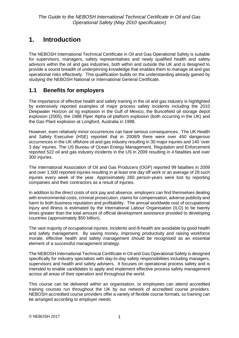# <span id="page-3-0"></span>**1. Introduction**

The NEBOSH International Technical Certificate in Oil and Gas Operational Safety is suitable for supervisors, managers, safety representatives and newly qualified health and safety advisors within the oil and gas industries, both within and outside the UK and is designed to provide a sound breadth of underpinning knowledge that enables them to manage oil and gas operational risks effectively. This qualification builds on the understanding already gained by studying the NEBOSH National or International General Certificate.

# <span id="page-3-1"></span>**1.1 Benefits for employers**

The importance of effective health and safety training in the oil and gas industry is highlighted by extensively reported examples of major process safety incidents including the 2010 Deepwater Horizon oil rig explosion in the Gulf of Mexico, the Buncefield oil storage depot explosion (2005), the 1988 Piper Alpha oil platform explosion (both occurring in the UK) and the Gas Plant explosion at Longford, Australia in 1998.

However, even relatively minor occurrences can have serious consequences. The UK Health and Safety Executive (HSE) reported that in 2008/9 there were over 450 dangerous occurrences in the UK offshore oil and gas industry resulting in 30 major injuries and 140 'over 3 day' injuries. The US Bureau of Ocean Energy Management, Regulation and Enforcement reported 522 oil and gas industry incidents in the US in 2009 resulting in 4 fatalities and over 300 injuries.

The International Association of Oil and Gas Producers (OGP) reported 99 fatalities in 2009 and over 1,500 reported injuries resulting in at least one day off work or an average of 28 such injuries every week of the year. Approximately 260 person-years were lost by reporting companies and their contractors as a result of injuries.

In addition to the direct costs of sick pay and absence, employers can find themselves dealing with environmental costs, criminal prosecution, claims for compensation, adverse publicity and harm to both business reputation and profitability. The annual worldwide cost of occupational injury and illness is estimated by the International Labour Organisation (ILO) to be twenty times greater than the total amount of official development assistance provided to developing countries (approximately \$50 billion).

The vast majority of occupational injuries, incidents and ill-health are avoidable by good health and safety management. By saving money, improving productivity and raising workforce morale, effective health and safety management should be recognised as an essential element of a successful management strategy.

The NEBOSH International Technical Certificate in Oil and Gas Operational Safety is designed specifically for industry specialists with day-to-day safety responsibilities including managers, supervisors and health and safety advisers. It focuses on operational process safety and is intended to enable candidates to apply and implement effective process safety management across all areas of their operation and throughout the world.

This course can be delivered within an organisation, or employees can attend accredited training courses run throughout the UK by our network of accredited course providers. NEBOSH accredited course providers offer a variety of flexible course formats, so training can be arranged according to employer needs.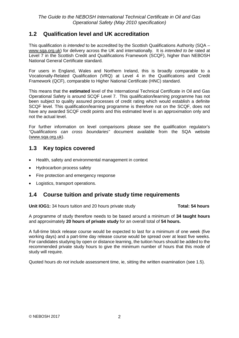# <span id="page-4-0"></span>**1.2 Qualification level and UK accreditation**

This qualification *is intended* to be accredited by the Scottish Qualifications Authority (SQA – [www.sqa.org.uk\)](http://www.sqa.org.uk/) for delivery across the UK and internationally. It is *intended to be* rated at Level 7 in the Scottish Credit and Qualifications Framework (SCQF), higher than NEBOSH National General Certificate standard.

For users in England, Wales and Northern Ireland, this is broadly comparable to a Vocationally-Related Qualification (VRQ) at Level 4 in the Qualifications and Credit Framework (QCF), comparable to Higher National Certificate (HNC) standard.

This means that the **estimated** level of the International Technical Certificate in Oil and Gas Operational Safety is around SCQF Level 7. This qualification/learning programme has not been subject to quality assured processes of credit rating which would establish a definite SCQF level. This qualification/learning programme is therefore not on the SCQF, does not have any awarded SCQF credit points and this estimated level is an approximation only and not the actual level.

For further information on level comparisons please see the qualification regulator's *"Qualifications can cross boundaries"* document available from the SQA website [\(www.sqa.org.uk\)](http://www.sqa.org.uk/).

# <span id="page-4-1"></span>**1.3 Key topics covered**

- Health, safety and environmental management in context
- Hydrocarbon process safety
- Fire protection and emergency response
- Logistics, transport operations.

# <span id="page-4-2"></span>**1.4 Course tuition and private study time requirements**

**Unit IOG1:** 34 hours tuition and 20 hours private study **Total: 54 hours** 

A programme of study therefore needs to be based around a minimum of **34 taught hours** and approximately **20 hours of private study** for an overall total of **54 hours.**

A full-time block release course would be expected to last for a minimum of one week (five working days) and a part-time day release course would be spread over at least five weeks. For candidates studying by open or distance learning, the tuition hours should be added to the recommended private study hours to give the minimum number of hours that this mode of study will require.

Quoted hours *do not* include assessment time, ie, sitting the written examination (see 1.5).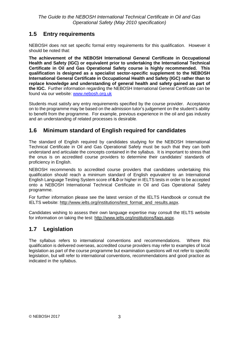# <span id="page-5-0"></span>**1.5 Entry requirements**

NEBOSH does not set specific formal entry requirements for this qualification. However it should be noted that:

**The achievement of the NEBOSH International General Certificate in Occupational Health and Safety (IGC) or equivalent prior to undertaking the International Technical Certificate in Oil and Gas Operational Safety course is highly recommended. This qualification is designed as a specialist sector-specific supplement to the NEBOSH International General Certificate in Occupational Health and Safety (IGC) rather than to replace knowledge and understanding of general health and safety gained as part of the IGC.** Further information regarding the NEBOSH International General Certificate can be found via our website: [www.nebosh.org.uk](http://www.nebosh.org.uk/)

Students must satisfy any entry requirements specified by the course provider. Acceptance on to the programme may be based on the admission tutor's judgement on the student's ability to benefit from the programme. For example, previous experience in the oil and gas industry and an understanding of related processes is desirable.

# <span id="page-5-1"></span>**1.6 Minimum standard of English required for candidates**

The standard of English required by candidates studying for the NEBOSH International Technical Certificate in Oil and Gas Operational Safety must be such that they can both understand and articulate the concepts contained in the syllabus. It is important to stress that the onus is on accredited course providers to determine their candidates' standards of proficiency in English.

NEBOSH recommends to accredited course providers that candidates undertaking this qualification should reach a minimum standard of English *equivalent* to an International English Language Testing System score of **6.0** or higher in IELTS tests in order to be accepted onto a NEBOSH International Technical Certificate in Oil and Gas Operational Safety programme.

For further information please see the latest version of the IELTS Handbook or consult the IELTS website: [http://www.ielts.org/institutions/test\\_format\\_and\\_results.aspx.](http://www.ielts.org/institutions/test_format_and_results.aspx)

Candidates wishing to assess their own language expertise may consult the IELTS website for information on taking the test: [http://www.ielts.org/institutions/faqs.aspx.](http://www.ielts.org/institutions/faqs.aspx)

# <span id="page-5-2"></span>**1.7 Legislation**

The syllabus refers to international conventions and recommendations. Where this qualification is delivered overseas, accredited course providers may refer to examples of local legislation as part of the course programme but examination questions will not refer to specific legislation, but will refer to international conventions, recommendations and good practice as indicated in the syllabus.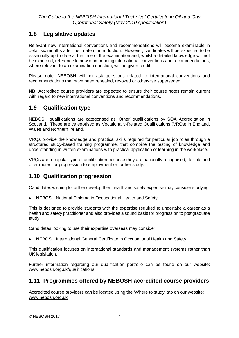# <span id="page-6-0"></span>**1.8 Legislative updates**

Relevant new international conventions and recommendations will become examinable in detail six months after their date of introduction. However, candidates will be expected to be essentially up-to-date at the time of the examination and, whilst a detailed knowledge will not be expected, reference to new or impending international conventions and recommendations, where relevant to an examination question, will be given credit.

Please note, NEBOSH will not ask questions related to international conventions and recommendations that have been repealed, revoked or otherwise superseded.

**NB:** Accredited course providers are expected to ensure their course notes remain current with regard to new international conventions and recommendations.

# <span id="page-6-1"></span>**1.9 Qualification type**

NEBOSH qualifications are categorised as 'Other' qualifications by SQA Accreditation in Scotland. These are categorised as Vocationally-Related Qualifications (VRQs) in England, Wales and Northern Ireland.

VRQs provide the knowledge and practical skills required for particular job roles through a structured study-based training programme, that combine the testing of knowledge and understanding in written examinations with practical application of learning in the workplace.

VRQs are a popular type of qualification because they are nationally recognised, flexible and offer routes for progression to employment or further study.

# <span id="page-6-2"></span>**1.10 Qualification progression**

Candidates wishing to further develop their health and safety expertise may consider studying:

• NEBOSH National Diploma in Occupational Health and Safety

This is designed to provide students with the expertise required to undertake a career as a health and safety practitioner and also provides a sound basis for progression to postgraduate study.

Candidates looking to use their expertise overseas may consider:

• NEBOSH International General Certificate in Occupational Health and Safety

This qualification focuses on international standards and management systems rather than UK legislation.

Further information regarding our qualification portfolio can be found on our website: [www.nebosh.org.uk/qualifications](http://www.nebosh.org.uk/qualifications)

# <span id="page-6-3"></span>**1.11 Programmes offered by NEBOSH-accredited course providers**

Accredited course providers can be located using the 'Where to study' tab on our website: [www.nebosh.org.uk](http://www.nebosh.org.uk/Studying/default.asp?cref=3&ct=2)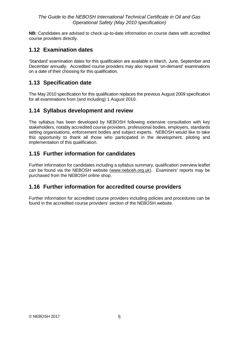**NB:** Candidates are advised to check up-to-date information on course dates with accredited course providers directly.

# <span id="page-7-0"></span>**1.12 Examination dates**

'Standard' examination dates for this qualification are available in March, June, September and December annually. Accredited course providers may also request 'on-demand' examinations on a date of their choosing for this qualification.

# <span id="page-7-1"></span>**1.13 Specification date**

The May 2010 specification for this qualification replaces the previous August 2009 specification for all examinations from (and including) 1 August 2010.

# <span id="page-7-2"></span>**1.14 Syllabus development and review**

The syllabus has been developed by NEBOSH following extensive consultation with key stakeholders, notably accredited course providers, professional bodies, employers, standards setting organisations, enforcement bodies and subject experts. NEBOSH would like to take this opportunity to thank all those who participated in the development, piloting and implementation of this qualification.

# <span id="page-7-3"></span>**1.15 Further information for candidates**

Further information for candidates including a syllabus summary, qualification overview leaflet can be found via the NEBOSH website [\(www.nebosh.org.uk\)](http://www.nebosh.org.uk/). Examiners' reports may be purchased from the NEBOSH online shop.

# <span id="page-7-4"></span>**1.16 Further information for accredited course providers**

Further information for accredited course providers including policies and procedures can be found in the accredited course providers' section of the NEBOSH website.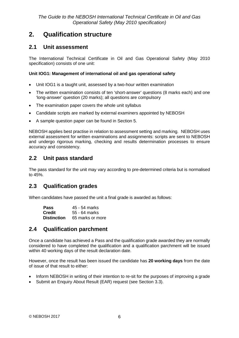# <span id="page-8-0"></span>**2. Qualification structure**

# <span id="page-8-1"></span>**2.1 Unit assessment**

The International Technical Certificate in Oil and Gas Operational Safety (May 2010 specification) consists of one unit:

### **Unit IOG1: Management of international oil and gas operational safety**

- Unit IOG1 is a taught unit, assessed by a two-hour written examination
- The written examination consists of ten 'short-answer' questions (8 marks each) and one 'long-answer' question (20 marks); all questions are compulsory
- The examination paper covers the whole unit syllabus
- Candidate scripts are marked by external examiners appointed by NEBOSH
- A sample question paper can be found in Section 5.

NEBOSH applies best practise in relation to assessment setting and marking. NEBOSH uses external assessment for written examinations and assignments: scripts are sent to NEBOSH and undergo rigorous marking, checking and results determination processes to ensure accuracy and consistency.

# <span id="page-8-2"></span>**2.2 Unit pass standard**

The pass standard for the unit may vary according to pre-determined criteria but is normalised to 45%.

# <span id="page-8-3"></span>**2.3 Qualification grades**

When candidates have passed the unit a final grade is awarded as follows:

| <b>Pass</b>        | 45 - 54 marks    |
|--------------------|------------------|
| <b>Credit</b>      | 55 - 64 marks    |
| <b>Distinction</b> | 65 marks or more |

# <span id="page-8-4"></span>**2.4 Qualification parchment**

Once a candidate has achieved a Pass and the qualification grade awarded they are normally considered to have completed the qualification and a qualification parchment will be issued within 40 working days of the result declaration date.

However, once the result has been issued the candidate has **20 working days** from the date of issue of that result to either:

- Inform NEBOSH in writing of their intention to re-sit for the purposes of improving a grade
- Submit an Enquiry About Result (EAR) request (see Section 3.3).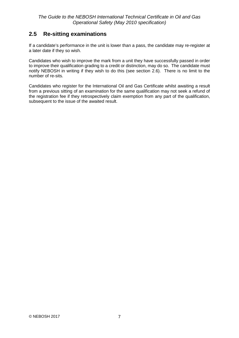# <span id="page-9-0"></span>**2.5 Re-sitting examinations**

If a candidate's performance in the unit is lower than a pass, the candidate may re-register at a later date if they so wish.

Candidates who wish to improve the mark from a unit they have successfully passed in order to improve their qualification grading to a credit or distinction, may do so. The candidate must notify NEBOSH in writing if they wish to do this (see section 2.6). There is no limit to the number of re-sits.

Candidates who register for the International Oil and Gas Certificate whilst awaiting a result from a previous sitting of an examination for the same qualification may not seek a refund of the registration fee if they retrospectively claim exemption from any part of the qualification, subsequent to the issue of the awaited result.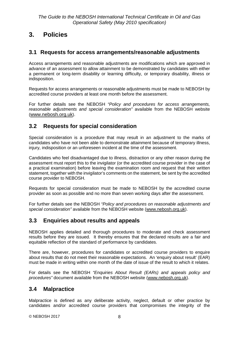# <span id="page-10-0"></span>**3. Policies**

# <span id="page-10-1"></span>**3.1 Requests for access arrangements/reasonable adjustments**

Access arrangements and reasonable adjustments are modifications which are approved in advance of an assessment to allow attainment to be demonstrated by candidates with either a permanent or long-term disability or learning difficulty, or temporary disability, illness or indisposition.

Requests for access arrangements or reasonable adjustments must be made to NEBOSH by accredited course providers at least one month before the assessment.

For further details see the NEBOSH *"Policy and procedures for access arrangements, reasonable adjustments and special consideration"* available from the NEBOSH website [\(www.nebosh.org.uk\)](http://www.nebosh.org.uk/).

# <span id="page-10-2"></span>**3.2 Requests for special consideration**

Special consideration is a procedure that may result in an adjustment to the marks of candidates who have not been able to demonstrate attainment because of temporary illness, injury, indisposition or an unforeseen incident at the time of the assessment.

Candidates who feel disadvantaged due to illness, distraction or any other reason during the assessment must report this to the invigilator (or the accredited course provider in the case of a practical examination) before leaving the examination room and request that their written statement, together with the invigilator's comments on the statement, be sent by the accredited course provider to NEBOSH.

Requests for special consideration must be made to NEBOSH by the accredited course provider as soon as possible and no more than seven working days after the assessment.

For further details see the NEBOSH *"Policy and procedures on reasonable adjustments and special consideration"* available from the NEBOSH website [\(www.nebosh.org.uk\)](http://www.nebosh.org.uk/).

# <span id="page-10-3"></span>**3.3 Enquiries about results and appeals**

NEBOSH applies detailed and thorough procedures to moderate and check assessment results before they are issued. It thereby ensures that the declared results are a fair and equitable reflection of the standard of performance by candidates.

There are, however, procedures for candidates or accredited course providers to enquire about results that do not meet their reasonable expectations. An 'enquiry about result' (EAR) must be made in writing within one month of the date of issue of the result to which it relates.

For details see the NEBOSH *"Enquiries About Result (EARs) and appeals policy and procedures"* document available from the NEBOSH website [\(www.nebosh.org.uk\)](http://www.nebosh.org.uk/).

# <span id="page-10-4"></span>**3.4 Malpractice**

Malpractice is defined as any deliberate activity, neglect, default or other practice by candidates and/or accredited course providers that compromises the integrity of the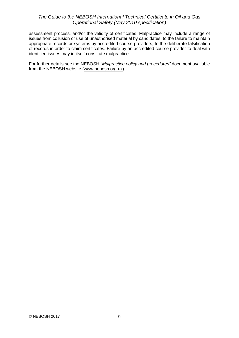assessment process, and/or the validity of certificates. Malpractice may include a range of issues from collusion or use of unauthorised material by candidates, to the failure to maintain appropriate records or systems by accredited course providers, to the deliberate falsification of records in order to claim certificates. Failure by an accredited course provider to deal with identified issues may in itself constitute malpractice.

For further details see the NEBOSH *"Malpractice policy and procedures"* document available from the NEBOSH website [\(www.nebosh.org.uk\)](http://www.nebosh.org.uk/).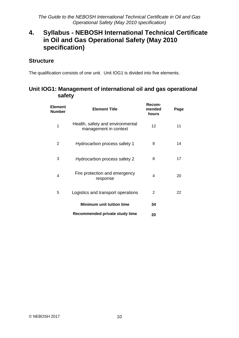# <span id="page-12-0"></span>**4. Syllabus - NEBOSH International Technical Certificate in Oil and Gas Operational Safety (May 2010 specification)**

# **Structure**

The qualification consists of one unit. Unit IOG1 is divided into five elements.

# **Unit IOG1: Management of international oil and gas operational safety**

| <b>Element</b><br><b>Number</b> | <b>Element Title</b>                                      | Recom-<br>mended<br>hours | Page |
|---------------------------------|-----------------------------------------------------------|---------------------------|------|
| 1                               | Health, safety and environmental<br>management in context | 12                        | 11   |
| $\overline{2}$                  | Hydrocarbon process safety 1                              | 8                         | 14   |
| 3                               | Hydrocarbon process safety 2                              | 8                         | 17   |
| 4                               | Fire protection and emergency<br>response                 | 4                         | 20   |
| 5                               | Logistics and transport operations                        | 2                         | 22   |
|                                 | Minimum unit tuition time                                 | 34                        |      |
|                                 | Recommended private study time                            | 20                        |      |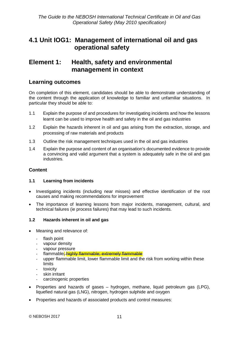# <span id="page-13-0"></span>**4.1 Unit IOG1: Management of international oil and gas operational safety**

# <span id="page-13-1"></span>**Element 1: Health, safety and environmental management in context**

## **Learning outcomes**

On completion of this element, candidates should be able to demonstrate understanding of the content through the application of knowledge to familiar and unfamiliar situations. In particular they should be able to:

- 1.1 Explain the purpose of and procedures for investigating incidents and how the lessons learnt can be used to improve health and safety in the oil and gas industries
- 1.2 Explain the hazards inherent in oil and gas arising from the extraction, storage, and processing of raw materials and products
- 1.3 Outline the risk management techniques used in the oil and gas industries
- 1.4 Explain the purpose and content of an organisation's documented evidence to provide a convincing and valid argument that a system is adequately safe in the oil and gas industries.

### **Content**

#### **1.1 Learning from incidents**

- Investigating incidents (including near misses) and effective identification of the root causes and making recommendations for improvement
- The importance of learning lessons from major incidents, management, cultural, and technical failures (ie process failures) that may lead to such incidents.

#### **1.2 Hazards inherent in oil and gas**

- Meaning and relevance of:
	- flash point
	- vapour density
	- vapour pressure
	- flammable; highly flammable; extremely flammable
	- upper flammable limit, lower flammable limit and the risk from working within these limits
	- toxicity
	- skin irritant
	- carcinogenic properties
- Properties and hazards of gases hydrogen, methane, liquid petroleum gas (LPG), liquefied natural gas (LNG), nitrogen, hydrogen sulphide and oxygen
- Properties and hazards of associated products and control measures: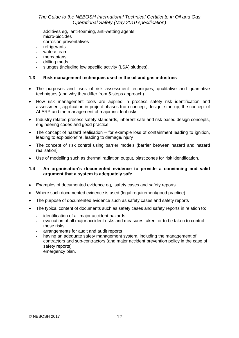- additives eg, anti-foaming, anti-wetting agents
- micro-biocides
- corrosion preventatives
- refrigerants
- water/steam
- mercaptans
- drilling muds
- sludges (including low specific activity (LSA) sludges).

#### **1.3 Risk management techniques used in the oil and gas industries**

- The purposes and uses of risk assessment techniques, qualitative and quantative techniques (and why they differ from 5-steps approach)
- How risk management tools are applied in process safety risk identification and assessment, application in project phases from concept, design, start-up, the concept of ALARP and the management of major incident risks
- Industry related process safety standards, inherent safe and risk based design concepts, engineering codes and good practice.
- The concept of hazard realisation for example loss of containment leading to ignition, leading to explosion/fire, leading to damage/injury
- The concept of risk control using barrier models (barrier between hazard and hazard realisation)
- Use of modelling such as thermal radiation output, blast zones for risk identification.

#### **1.4 An organisation's documented evidence to provide a convincing and valid argument that a system is adequately safe**

- Examples of documented evidence eg, safety cases and safety reports
- Where such documented evidence is used (legal requirement/good practice)
- The purpose of documented evidence such as safety cases and safety reports
- The typical content of documents such as safety cases and safety reports in relation to:
	- identification of all major accident hazards
	- evaluation of all major accident risks and measures taken, or to be taken to control those risks
	- arrangements for audit and audit reports
	- having an adequate safety management system, including the management of contractors and sub-contractors (and major accident prevention policy in the case of safety reports)
	- emergency plan.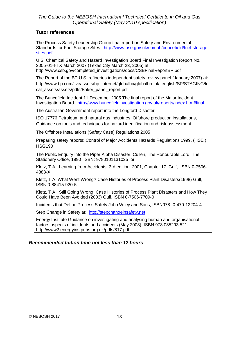## **Tutor references**

The Process Safety Leadership Group final report on Safety and Environmental Standards for Fuel Storage Sites [http://www.hse.gov.uk/comah/buncefield/fuel-storage](http://www.hse.gov.uk/comah/buncefield/fuel-storage-sites.pdf)[sites.pdf](http://www.hse.gov.uk/comah/buncefield/fuel-storage-sites.pdf)

U.S. Chemical Safety and Hazard Investigation Board Final Investigation Report No. 2005-01-I-TX March 2007 (Texas City March 23, 2005) at: http://www.csb.gov/completed\_investigations/docs/CSBFinalReportBP.pdf

The Report of the BP U.S. refineries independent safety review panel (January 2007) at: http://www.bp.com/liveassets/bp\_internet/globalbp/globalbp\_uk\_english/SP/STAGING/lo cal\_assets/assets/pdfs/Baker\_panel\_report.pdf

The Buncefield Incident 11 December 2005 The final report of the Major Incident Investigation Board <http://www.buncefieldinvestigation.gov.uk/reports/index.htm#final>

The Australian Government report into the Longford Disaster

ISO 17776 Petroleum and natural gas industries, Offshore production installations, Guidance on tools and techniques for hazard identification and risk assessment

The Offshore Installations (Safety Case) Regulations 2005

Preparing safety reports: Control of Major Accidents Hazards Regulations 1999. (HSE ) HSG190

The Public Enquiry into the Piper Alpha Disaster, Cullen, The Honourable Lord, The Stationery Office, 1990 ISBN: [9780101131025](http://www.tsoshop.co.uk/bookstore.asp?Action=Book&From=SearchResults&ProductId=9780101131025) or

Kletz, T.A., Learning from Accidents, 3rd edition, 2001, Chapter 17. Gulf, ISBN 0-7506- 4883-X

Kletz, T A: What Went Wrong? Case Histories of Process Plant Disasters(1998) Gulf, ISBN 0-88415-920-5

Kletz, T A : Still Going Wrong: Case Histories of Process Plant Disasters and How They Could Have Been Avoided (2003) Gulf, ISBN 0-7506-7709-0

Incidents that Define Process Safety John Wiley and Sons, ISBN978 -0-470-12204-4

Step Change in Safety at: [http://stepchangeinsafety.net](http://stepchangeinsafety.net/)

Energy Institute Guidance on investigating and analysing human and organisational factors aspects of incidents and accidents (May 2008) ISBN 978 085293 521 http://www2.energyinstpubs.org.uk/pdfs/817.pdf

## *Recommended tuition time not less than 12 hours*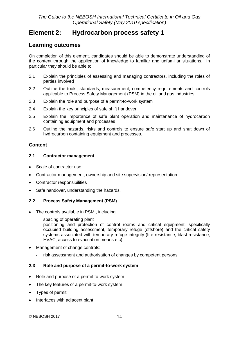# <span id="page-16-0"></span>**Element 2: Hydrocarbon process safety 1**

# **Learning outcomes**

On completion of this element, candidates should be able to demonstrate understanding of the content through the application of knowledge to familiar and unfamiliar situations. In particular they should be able to:

- 2.1 Explain the principles of assessing and managing contractors, including the roles of parties involved
- 2.2 Outline the tools, standards, measurement, competency requirements and controls applicable to Process Safety Management (PSM) in the oil and gas industries
- 2.3 Explain the role and purpose of a permit-to-work system
- 2.4 Explain the key principles of safe shift handover
- 2.5 Explain the importance of safe plant operation and maintenance of hydrocarbon containing equipment and processes
- 2.6 Outline the hazards, risks and controls to ensure safe start up and shut down of hydrocarbon containing equipment and processes.

## **Content**

#### **2.1 Contractor management**

- Scale of contractor use
- Contractor management, ownership and site supervision/ representation
- Contractor responsibilities
- Safe handover, understanding the hazards.

### **2.2 Process Safety Management (PSM)**

- The controls available in PSM , including:
	- spacing of operating plant
	- positioning and protection of control rooms and critical equipment, specifically occupied building assessment, temporary refuge (offshore) and the critical safety systems associated with temporary refuge integrity (fire resistance, blast resistance, HVAC, access to evacuation means etc)
- Management of change controls:
	- risk assessment and authorisation of changes by competent persons.

#### **2.3 Role and purpose of a permit-to-work system**

- Role and purpose of a permit-to-work system
- The key features of a permit-to-work system
- Types of permit
- Interfaces with adjacent plant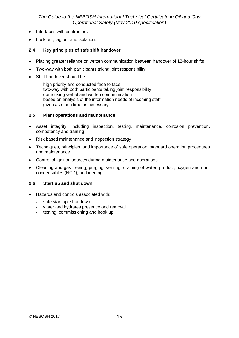- Interfaces with contractors
- Lock out, tag out and isolation.

#### **2.4 Key principles of safe shift handover**

- Placing greater reliance on written communication between handover of 12-hour shifts
- Two-way with both participants taking joint responsibility
- Shift handover should be:
	- high priority and conducted face to face
	- two-way with both participants taking joint responsibility
	- done using verbal and written communication
	- based on analysis of the information needs of incoming staff
	- given as much time as necessary.

#### **2.5 Plant operations and maintenance**

- Asset integrity, including inspection, testing, maintenance, corrosion prevention, competency and training
- Risk based maintenance and inspection strategy
- Techniques, principles, and importance of safe operation, standard operation procedures and maintenance
- Control of ignition sources during maintenance and operations
- Cleaning and gas freeing; purging; venting; draining of water, product, oxygen and noncondensables (NCD), and inerting.

#### **2.6 Start up and shut down**

- Hazards and controls associated with:
	- safe start up, shut down
	- water and hydrates presence and removal
	- testing, commissioning and hook up.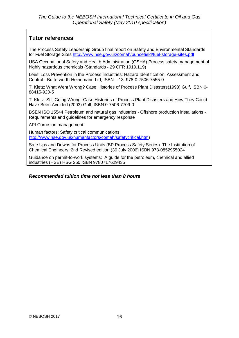# **Tutor references**

The Process Safety Leadership Group final report on Safety and Environmental Standards for Fuel Storage Sites<http://www.hse.gov.uk/comah/buncefield/fuel-storage-sites.pdf>

USA Occupational Safety and Health Administration (OSHA) Process safety management of highly hazardous chemicals (Standards - 29 CFR 1910.119)

Lees' Loss Prevention in the Process Industries: Hazard Identification, Assessment and Control - Butterworth-Heinemann Ltd; ISBN – 13: 978-0-7506-7555-0

T. Kletz: What Went Wrong? Case Histories of Process Plant Disasters(1998) Gulf, ISBN 0- 88415-920-5

T. Kletz: Still Going Wrong: Case Histories of Process Plant Disasters and How They Could Have Been Avoided (2003) Gulf, ISBN 0-7506-7709-0

BSEN ISO 15544 Petroleum and natural gas industries - Offshore production installations - Requirements and guidelines for emergency response

API Corrosion management

Human factors: Safety critical communications: [http://www.hse.gov.uk/humanfactors/comah/safetycritical.htm\)](http://www.hse.gov.uk/humanfactors/comah/safetycritical.htm)

Safe Ups and Downs for Process Units (BP Process Safety Series) The Institution of Chemical Engineers; 2nd Revised edition (30 July 2006) ISBN 978-0852955024

Guidance on permit-to-work systems: A guide for the petroleum, chemical and allied industries (HSE) HSG 250 ISBN 9780717629435

#### *Recommended tuition time not less than 8 hours*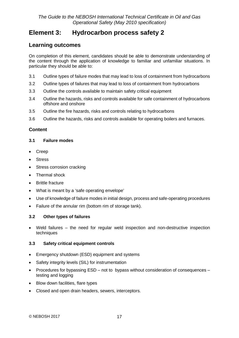# <span id="page-19-0"></span>**Element 3: Hydrocarbon process safety 2**

# **Learning outcomes**

On completion of this element, candidates should be able to demonstrate understanding of the content through the application of knowledge to familiar and unfamiliar situations. In particular they should be able to:

- 3.1 Outline types of failure modes that may lead to loss of containment from hydrocarbons
- 3.2 Outline types of failures that may lead to loss of containment from hydrocarbons
- 3.3 Outline the controls available to maintain safety critical equipment
- 3.4 Outline the hazards, risks and controls available for safe containment of hydrocarbons offshore and onshore
- 3.5 Outline the fire hazards, risks and controls relating to hydrocarbons
- 3.6 Outline the hazards, risks and controls available for operating boilers and furnaces.

## **Content**

#### **3.1 Failure modes**

- Creep
- Stress
- Stress corrosion cracking
- Thermal shock
- Brittle fracture
- What is meant by a 'safe operating envelope'
- Use of knowledge of failure modes in initial design, process and safe-operating procedures
- Failure of the annular rim (bottom rim of storage tank).

### **3.2 Other types of failures**

• Weld failures – the need for regular weld inspection and non-destructive inspection techniques

### **3.3 Safety critical equipment controls**

- Emergency shutdown (ESD) equipment and systems
- Safety integrity levels (SIL) for instrumentation
- Procedures for bypassing ESD not to bypass without consideration of consequences testing and logging
- Blow down facilities, flare types
- Closed and open drain headers, sewers, interceptors.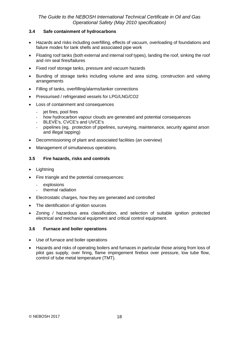#### **3.4 Safe containment of hydrocarbons**

- Hazards and risks including overfilling, effects of vacuum, overloading of foundations and failure modes for tank shells and associated pipe work
- Floating roof tanks (both external and internal roof types), landing the roof, sinking the roof and rim seal fires/failures
- Fixed roof storage tanks, pressure and vacuum hazards
- Bunding of storage tanks including volume and area sizing, construction and valving arrangements
- Filling of tanks, overfilling/alarms/tanker connections
- Pressurised / refrigerated vessels for LPG/LNG/CO2
- Loss of containment and consequences
	- jet fires, pool fires
	- how hydrocarbon vapour clouds are generated and potential consequences
	- BLEVE's, CVCE's and UVCE's
	- pipelines (eg, protection of pipelines, surveying, maintenance, security against arson and illegal tapping)
- Decommissioning of plant and associated facilities (an overview)
- Management of simultaneous operations.

#### **3.5 Fire hazards, risks and controls**

- Lightning
- Fire triangle and the potential consequences:
	- explosions
	- thermal radiation
- Electrostatic charges, how they are generated and controlled
- The identification of ignition sources
- Zoning / hazardous area classification, and selection of suitable ignition protected electrical and mechanical equipment and critical control equipment.

#### **3.6 Furnace and boiler operations**

- Use of furnace and boiler operations
- Hazards and risks of operating boilers and furnaces in particular those arising from loss of pilot gas supply, over firing, flame impingement firebox over pressure, low tube flow, control of tube metal temperature (TMT).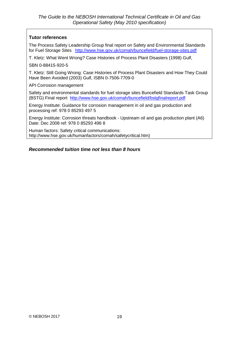## **Tutor references**

The Process Safety Leadership Group final report on Safety and Environmental Standards for Fuel Storage Sites <http://www.hse.gov.uk/comah/buncefield/fuel-storage-sites.pdf>

T. Kletz: What Went Wrong? Case Histories of Process Plant Disasters (1998) Gulf,

SBN 0-88415-920-5

T. Kletz: Still Going Wrong: Case Histories of Process Plant Disasters and How They Could Have Been Avoided (2003) Gulf, ISBN 0-7506-7709-0

API Corrosion management

Safety and environmental standards for fuel storage sites Buncefield Standards Task Group (BSTG) Final report <http://www.hse.gov.uk/comah/buncefield/bstgfinalreport.pdf>

Energy Institute: Guidance for corrosion management in oil and gas production and processing ref: 978 0 85293 497 5

Energy Institute: Corrosion threats handbook - Upstream oil and gas production plant (A6) Date: Dec 2008 ref: 978 0 85293 496 8

Human factors: Safety critical communications: [http://www.hse.gov.uk/humanfactors/comah/safetycritical.htm\)](http://www.hse.gov.uk/humanfactors/comah/safetycritical.htm)

### *Recommended tuition time not less than 8 hours*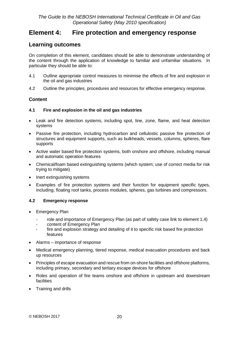# <span id="page-22-0"></span>**Element 4: Fire protection and emergency response**

# **Learning outcomes**

On completion of this element, candidates should be able to demonstrate understanding of the content through the application of knowledge to familiar and unfamiliar situations. In particular they should be able to:

- 4.1 Outline appropriate control measures to minimise the effects of fire and explosion in the oil and gas industries
- 4.2 Outline the principles, procedures and resources for effective emergency response.

### **Content**

### **4.1 Fire and explosion in the oil and gas industries**

- Leak and fire detection systems, including spot, line, zone, flame, and heat detection systems
- Passive fire protection, including hydrocarbon and cellulostic passive fire protection of structures and equipment supports, such as bulkheads, vessels, columns, spheres, flare supports
- Active water based fire protection systems, both onshore and offshore, including manual and automatic operation features
- Chemical/foam based extinguishing systems (which system; use of correct media for risk trying to mitigate)
- Inert extinguishing systems
- Examples of fire protection systems and their function for equipment specific types, including; floating roof tanks, process modules, spheres, gas turbines and compressors.

#### **4.2 Emergency response**

- Emergency Plan
	- role and importance of Emergency Plan (as part of safety case link to element 1.4)
	- content of Emergency Plan
	- fire and explosion strategy and detailing of it to specific risk based fire protection features
- Alarms importance of response
- Medical emergency planning, tiered response, medical evacuation procedures and back up resources
- Principles of escape evacuation and rescue from on-shore facilities and offshore platforms, including primary, secondary and tertiary escape devices for offshore
- Roles and operation of fire teams onshore and offshore in upstream and downstream facilities
- Training and drills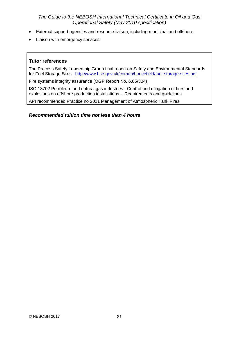- External support agencies and resource liaison, including municipal and offshore
- Liaison with emergency services.

#### **Tutor references**

The Process Safety Leadership Group final report on Safety and Environmental Standards for Fuel Storage Sites <http://www.hse.gov.uk/comah/buncefield/fuel-storage-sites.pdf>

Fire systems integrity assurance (OGP Report No. 6.85/304)

ISO 13702 Petroleum and natural gas industries - Control and mitigation of fires and explosions on offshore production installations -- Requirements and guidelines

API recommended Practice no 2021 Management of Atmospheric Tank Fires

*Recommended tuition time not less than 4 hours*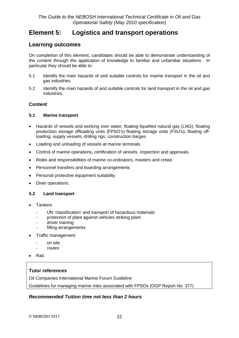# <span id="page-24-0"></span>**Element 5: Logistics and transport operations**

# **Learning outcomes**

On completion of this element, candidates should be able to demonstrate understanding of the content through the application of knowledge to familiar and unfamiliar situations. In particular they should be able to:

- 5.1 Identify the main hazards of and suitable controls for marine transport in the oil and gas industries
- 5.2 Identify the main hazards of and suitable controls for land transport in the oil and gas industries.

## **Content**

#### **5.1 Marine transport**

- Hazards of vessels and working over water; floating liquefied natural gas (LNG), floating production storage offloading units (FPSO's) floating storage units (FSU's), floating offloading, supply vessels, drilling rigs, construction barges
- Loading and unloading of vessels at marine terminals
- Control of marine operations, certification of vessels, inspection and approvals
- Roles and responsibilities of marine co-ordinators, masters and crews
- Personnel transfers and boarding arrangements
- Personal protective equipment suitability
- Diver operations.

### **5.2 Land transport**

- Tankers
	- UN 'classification' and transport of hazardous materials
	- protection of plant against vehicles striking plant
	- driver training
	- filling arrangements
- Traffic management
	- on site
	- routes
- Rail.

## **Tutor references**

Oil Companies International Marine Forum Guideline

Guidelines for managing marine risks associated with FPSOs (OGP Report No. 377)

### *Recommended Tuition time not less than 2 hours*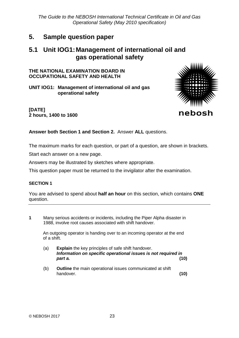# <span id="page-25-0"></span>**5. Sample question paper**

# **5.1 Unit IOG1:Management of international oil and gas operational safety**

## **THE NATIONAL EXAMINATION BOARD IN OCCUPATIONAL SAFETY AND HEALTH**

**UNIT IOG1: Management of international oil and gas operational safety**



**[DATE] 2 hours, 1400 to 1600**

**Answer both Section 1 and Section 2.** Answer **ALL** questions.

The maximum marks for each question, or part of a question, are shown in brackets.

Start each answer on a new page.

Answers may be illustrated by sketches where appropriate.

This question paper must be returned to the invigilator after the examination.

### **SECTION 1**

You are advised to spend about **half an hour** on this section, which contains **ONE** question.

**1** Many serious accidents or incidents, including the Piper Alpha disaster in 1988, involve root causes associated with shift handover.

An outgoing operator is handing over to an incoming operator at the end of a shift.

- (a) **Explain** the key principles of safe shift handover. *Information on specific operational issues is not required in part a.* **(10)**
- (b) **Outline** the main operational issues communicated at shift handover. **(10)**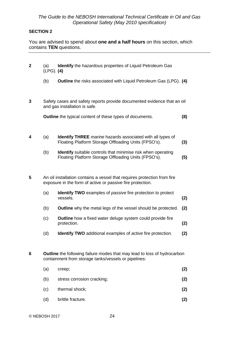### **SECTION 2**

You are advised to spend about **one and a half hours** on this section, which contains **TEN** questions.

| $\mathbf{2}$                                                                                                                                | (a)<br>$(LPG)$ . (4)                                                                                     | <b>Identify</b> the hazardous properties of Liquid Petroleum Gas                                                                 |     |
|---------------------------------------------------------------------------------------------------------------------------------------------|----------------------------------------------------------------------------------------------------------|----------------------------------------------------------------------------------------------------------------------------------|-----|
|                                                                                                                                             | (b)                                                                                                      | Outline the risks associated with Liquid Petroleum Gas (LPG). (4)                                                                |     |
| 3                                                                                                                                           | Safety cases and safety reports provide documented evidence that an oil<br>and gas installation is safe. |                                                                                                                                  |     |
|                                                                                                                                             |                                                                                                          | <b>Outline</b> the typical content of these types of documents.                                                                  | (8) |
| 4                                                                                                                                           | (a)                                                                                                      | <b>Identify THREE</b> marine hazards associated with all types of<br>Floating Platform Storage Offloading Units (FPSO's).        | (3) |
|                                                                                                                                             | (b)                                                                                                      | <b>Identify</b> suitable controls that minimise risk when operating<br>Floating Platform Storage Offloading Units (FPSO's).      | (5) |
| 5<br>An oil installation contains a vessel that requires protection from fire<br>exposure in the form of active or passive fire protection. |                                                                                                          |                                                                                                                                  |     |
|                                                                                                                                             | (a)                                                                                                      | Identify TWO examples of passive fire protection to protect<br>vessels.                                                          | (2) |
|                                                                                                                                             | (b)                                                                                                      | <b>Outline</b> why the metal legs of the vessel should be protected.                                                             | (2) |
|                                                                                                                                             | (c)                                                                                                      | <b>Outline</b> how a fixed water deluge system could provide fire<br>protection.                                                 | (2) |
|                                                                                                                                             | (d)                                                                                                      | <b>Identify TWO</b> additional examples of <i>active</i> fire protection.                                                        | (2) |
| 6                                                                                                                                           |                                                                                                          | Outline the following failure modes that may lead to loss of hydrocarbon<br>containment from storage tanks/vessels or pipelines: |     |
|                                                                                                                                             | (a)                                                                                                      | creep;                                                                                                                           | (2) |
|                                                                                                                                             | (b)                                                                                                      | stress corrosion cracking;                                                                                                       | (2) |
|                                                                                                                                             | (c)                                                                                                      | thermal shock;                                                                                                                   | (2) |
|                                                                                                                                             |                                                                                                          |                                                                                                                                  |     |

(d) brittle fracture. **(2)**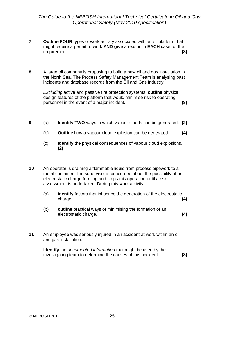- **7 Outline FOUR** types of work activity associated with an oil platform that might require a permit-to-work **AND give** a reason in **EACH** case for the requirement. **(8)**
- **8** A large oil company is proposing to build a new oil and gas installation in the North Sea. The Process Safety Management Team is analysing past incidents and database records from the Oil and Gas Industry.

*Excluding* active and passive fire protection systems, **outline** physical design features of the platform that would minimise risk to operating personnel in the event of a major incident. **(8)**

- **9** (a) **Identify TWO** ways in which vapour clouds can be generated. **(2)**
	- (b) **Outline** how a vapour cloud explosion can be generated. **(4)**
	- (c) **Identify** the physical consequences of vapour cloud explosions. **(2)**
- **10** An operator is draining a flammable liquid from process pipework to a metal container. The supervisor is concerned about the possibility of an electrostatic charge forming and stops this operation until a risk assessment is undertaken. During this work activity:
	- (a) **identify** factors that influence the generation of the electrostatic charge; **(4)**
	- (b) **outline** practical ways of minimising the formation of an electrostatic charge. **(4)**
- **11** An employee was seriously injured in an accident at work within an oil and gas installation.

**Identify** the *documented information* that might be used by the investigating team to determine the causes of this accident. **(8)**